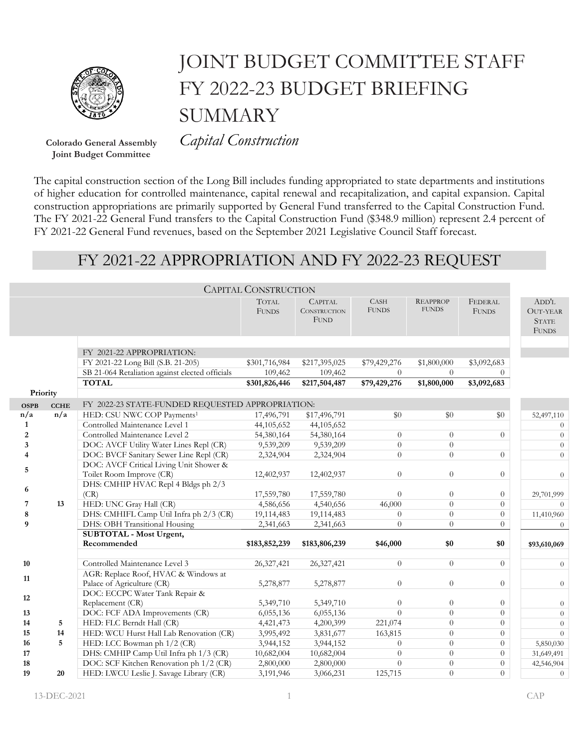

## JOINT BUDGET COMMITTEE STAFF FY 2022-23 BUDGET BRIEFING **SUMMARY**

**Joint Budget Committee**

**Colorado General Assembly** *Capital Construction*

The capital construction section of the Long Bill includes funding appropriated to state departments and institutions of higher education for controlled maintenance, capital renewal and recapitalization, and capital expansion. Capital construction appropriations are primarily supported by General Fund transferred to the Capital Construction Fund. The FY 2021-22 General Fund transfers to the Capital Construction Fund (\$348.9 million) represent 2.4 percent of FY 2021-22 General Fund revenues, based on the September 2021 Legislative Council Staff forecast.

## FY 2021-22 APPROPRIATION AND FY 2022-23 REQUEST

| <b>CAPITAL CONSTRUCTION</b> |             |                                                  |                              |                                                      |                             |                                 |                                |                                                          |  |  |
|-----------------------------|-------------|--------------------------------------------------|------------------------------|------------------------------------------------------|-----------------------------|---------------------------------|--------------------------------|----------------------------------------------------------|--|--|
|                             |             |                                                  | <b>TOTAL</b><br><b>FUNDS</b> | <b>CAPITAL</b><br><b>CONSTRUCTION</b><br><b>FUND</b> | <b>CASH</b><br><b>FUNDS</b> | <b>REAPPROP</b><br><b>FUNDS</b> | <b>FEDERAL</b><br><b>FUNDS</b> | ADD'L<br><b>OUT-YEAR</b><br><b>STATE</b><br><b>FUNDS</b> |  |  |
|                             |             |                                                  |                              |                                                      |                             |                                 |                                |                                                          |  |  |
|                             |             | FY 2021-22 APPROPRIATION:                        |                              |                                                      |                             |                                 |                                |                                                          |  |  |
|                             |             | FY 2021-22 Long Bill (S.B. 21-205)               | \$301,716,984                | \$217,395,025                                        | \$79,429,276                | \$1,800,000                     | \$3,092,683                    |                                                          |  |  |
|                             |             | SB 21-064 Retaliation against elected officials  | 109,462                      | 109,462                                              | $\Omega$                    | $\theta$                        | 0                              |                                                          |  |  |
|                             |             | <b>TOTAL</b>                                     | \$301,826,446                | \$217,504,487                                        | \$79,429,276                | \$1,800,000                     | \$3,092,683                    |                                                          |  |  |
| Priority                    |             |                                                  |                              |                                                      |                             |                                 |                                |                                                          |  |  |
| <b>OSPB</b>                 | <b>CCHE</b> | FY 2022-23 STATE-FUNDED REQUESTED APPROPRIATION: |                              |                                                      |                             |                                 |                                |                                                          |  |  |
| n/a                         | n/a         | HED: CSU NWC COP Payments <sup>1</sup>           | 17,496,791                   | \$17,496,791                                         | \$0                         | \$0                             | \$0                            | 52,497,110                                               |  |  |
| $\mathbf{1}$                |             | Controlled Maintenance Level 1                   | 44,105,652                   | 44,105,652                                           |                             |                                 |                                | $\theta$                                                 |  |  |
| $\boldsymbol{2}$            |             | Controlled Maintenance Level 2                   | 54,380,164                   | 54,380,164                                           | $\theta$                    | $\theta$                        | $\Omega$                       | $\theta$                                                 |  |  |
| 3                           |             | DOC: AVCF Utility Water Lines Repl (CR)          | 9,539,209                    | 9,539,209                                            | $\theta$                    | $\Omega$                        |                                | $\theta$                                                 |  |  |
|                             |             | DOC: BVCF Sanitary Sewer Line Repl (CR)          | 2,324,904                    | 2,324,904                                            | $\theta$                    | $\Omega$                        | $\overline{0}$                 | $\theta$                                                 |  |  |
| 5                           |             | DOC: AVCF Critical Living Unit Shower &          |                              |                                                      |                             |                                 |                                |                                                          |  |  |
|                             |             | Toilet Room Improve (CR)                         | 12,402,937                   | 12,402,937                                           | $\theta$                    | $\theta$                        | $\overline{0}$                 | $\theta$                                                 |  |  |
| 6                           |             | DHS: CMHIP HVAC Repl 4 Bldgs ph 2/3              |                              |                                                      |                             |                                 |                                |                                                          |  |  |
|                             |             | (CR)                                             | 17,559,780                   | 17,559,780                                           | $\theta$                    | $\overline{0}$                  | $\overline{0}$                 | 29,701,999                                               |  |  |
| 7                           | 13          | HED: UNC Gray Hall (CR)                          | 4,586,656                    | 4,540,656                                            | 46,000                      | $\Omega$                        | $\overline{0}$                 | $\Omega$                                                 |  |  |
| 8                           |             | DHS: CMHIFL Camp Util Infra ph 2/3 (CR)          | 19,114,483                   | 19,114,483                                           | $\theta$                    | $\theta$                        | $\overline{0}$                 | 11,410,960                                               |  |  |
| 9                           |             | DHS: OBH Transitional Housing                    | 2,341,663                    | 2,341,663                                            | $\theta$                    | $\Omega$                        | $\overline{0}$                 | $\overline{0}$                                           |  |  |
|                             |             | <b>SUBTOTAL - Most Urgent,</b>                   |                              |                                                      |                             |                                 |                                |                                                          |  |  |
|                             |             | Recommended                                      | \$183,852,239                | \$183,806,239                                        | \$46,000                    | \$0                             | \$0                            | \$93,610,069                                             |  |  |
| 10                          |             | Controlled Maintenance Level 3                   | 26,327,421                   | 26,327,421                                           | $\theta$                    | $\theta$                        | $\Omega$                       |                                                          |  |  |
|                             |             | AGR: Replace Roof, HVAC & Windows at             |                              |                                                      |                             |                                 |                                | $\overline{0}$                                           |  |  |
| 11                          |             | Palace of Agriculture (CR)                       | 5,278,877                    | 5,278,877                                            | $\theta$                    | $\theta$                        | $\overline{0}$                 | $\theta$                                                 |  |  |
|                             |             | DOC: ECCPC Water Tank Repair &                   |                              |                                                      |                             |                                 |                                |                                                          |  |  |
| 12                          |             | Replacement (CR)                                 | 5,349,710                    | 5,349,710                                            | $\theta$                    | $\theta$                        | $\overline{0}$                 | $\theta$                                                 |  |  |
| 13                          |             | DOC: FCF ADA Improvements (CR)                   | 6,055,136                    | 6,055,136                                            | $\Omega$                    | $\theta$                        | $\Omega$                       | $\theta$                                                 |  |  |
| 14                          | 5           | HED: FLC Berndt Hall (CR)                        | 4,421,473                    | 4,200,399                                            | 221,074                     | $\theta$                        | $\overline{0}$                 | $\theta$                                                 |  |  |
| 15                          | 14          | HED: WCU Hurst Hall Lab Renovation (CR)          | 3,995,492                    | 3,831,677                                            | 163,815                     | $\theta$                        | $\overline{0}$                 | $\theta$                                                 |  |  |
| 16                          | 5           | HED: LCC Bowman ph 1/2 (CR)                      | 3,944,152                    | 3,944,152                                            | $\Omega$                    | $\Omega$                        | $\overline{0}$                 | 5,850,030                                                |  |  |
| 17                          |             | DHS: CMHIP Camp Util Infra ph 1/3 (CR)           | 10,682,004                   | 10,682,004                                           | $\theta$                    | $\theta$                        | $\overline{0}$                 | 31,649,491                                               |  |  |
| 18                          |             | DOC: SCF Kitchen Renovation ph 1/2 (CR)          | 2,800,000                    | 2,800,000                                            | $\Omega$                    | $\Omega$                        | $\overline{0}$                 | 42,546,904                                               |  |  |
| 19                          | 20          | HED: LWCU Leslie J. Savage Library (CR)          | 3,191,946                    | 3,066,231                                            | 125,715                     | $\Omega$                        | $\overline{0}$                 | $\theta$                                                 |  |  |
|                             |             |                                                  |                              |                                                      |                             |                                 |                                |                                                          |  |  |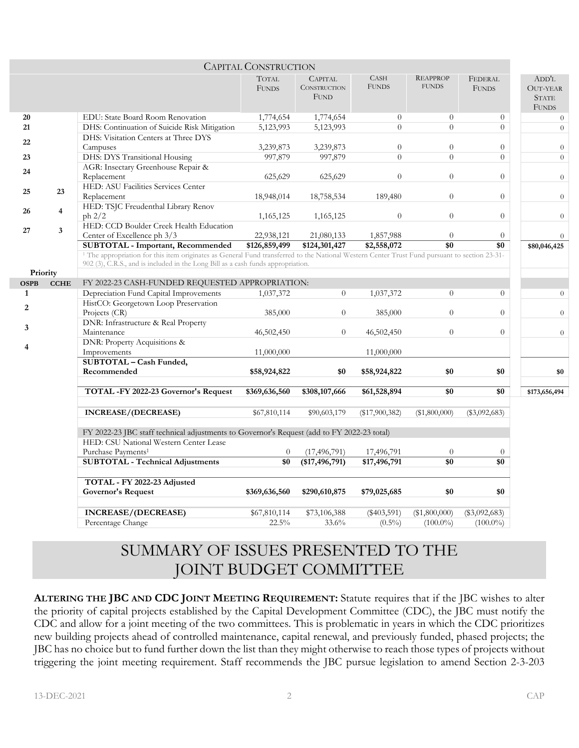|                                                                                                                                      |                         |                                                                                                                                                                                                                                              | <b>CAPITAL CONSTRUCTION</b>  |                                                      |                             |                                 |                         |                                                          |  |
|--------------------------------------------------------------------------------------------------------------------------------------|-------------------------|----------------------------------------------------------------------------------------------------------------------------------------------------------------------------------------------------------------------------------------------|------------------------------|------------------------------------------------------|-----------------------------|---------------------------------|-------------------------|----------------------------------------------------------|--|
|                                                                                                                                      |                         |                                                                                                                                                                                                                                              | <b>TOTAL</b><br><b>FUNDS</b> | <b>CAPITAL</b><br><b>CONSTRUCTION</b><br><b>FUND</b> | <b>CASH</b><br><b>FUNDS</b> | <b>REAPPROP</b><br><b>FUNDS</b> | FEDERAL<br><b>FUNDS</b> | ADD'L<br><b>OUT-YEAR</b><br><b>STATE</b><br><b>FUNDS</b> |  |
| 20                                                                                                                                   |                         | EDU: State Board Room Renovation                                                                                                                                                                                                             | 1,774,654                    | 1,774,654                                            | $\theta$                    | $\theta$                        | $\theta$                | $\theta$                                                 |  |
| 21                                                                                                                                   |                         | DHS: Continuation of Suicide Risk Mitigation                                                                                                                                                                                                 | 5,123,993                    | 5,123,993                                            | $\theta$                    | $\overline{0}$                  | $\overline{0}$          | $\overline{0}$                                           |  |
| 22                                                                                                                                   |                         | DHS: Visitation Centers at Three DYS<br>Campuses                                                                                                                                                                                             | 3,239,873                    | 3,239,873                                            | $\theta$                    | $\overline{0}$                  | $\overline{0}$          | $\theta$                                                 |  |
| 23                                                                                                                                   |                         | DHS: DYS Transitional Housing                                                                                                                                                                                                                | 997,879                      | 997,879                                              | $\Omega$                    | $\overline{0}$                  | $\overline{0}$          | $\theta$                                                 |  |
| 24                                                                                                                                   |                         | AGR: Insectary Greenhouse Repair &<br>Replacement                                                                                                                                                                                            | 625,629                      | 625,629                                              | $\theta$                    | $\overline{0}$                  | $\overline{0}$          | $\overline{0}$                                           |  |
| 25                                                                                                                                   | 23                      | HED: ASU Facilities Services Center<br>Replacement                                                                                                                                                                                           | 18,948,014                   | 18,758,534                                           | 189,480                     | $\overline{0}$                  | $\overline{0}$          | $\boldsymbol{0}$                                         |  |
| 26                                                                                                                                   | $\overline{\mathbf{4}}$ | HED: TSJC Freudenthal Library Renov<br>ph 2/2                                                                                                                                                                                                | 1,165,125                    | 1,165,125                                            | $\theta$                    | $\overline{0}$                  | $\overline{0}$          | $\overline{0}$                                           |  |
| 27                                                                                                                                   | $\mathbf{3}$            | HED: CCD Boulder Creek Health Education<br>Center of Excellence ph 3/3                                                                                                                                                                       |                              |                                                      |                             | $\theta$                        | $\theta$                | $\theta$                                                 |  |
|                                                                                                                                      |                         | <b>SUBTOTAL - Important, Recommended</b>                                                                                                                                                                                                     | 22,938,121<br>\$126,859,499  | 21,080,133<br>\$124,301,427                          | 1,857,988<br>\$2,558,072    | \$0                             | \$0                     | \$80,046,425                                             |  |
|                                                                                                                                      |                         | <sup>1</sup> The appropriation for this item originates as General Fund transferred to the National Western Center Trust Fund pursuant to section 23-31-<br>902 (3), C.R.S., and is included in the Long Bill as a cash funds appropriation. |                              |                                                      |                             |                                 |                         |                                                          |  |
| Priority                                                                                                                             |                         |                                                                                                                                                                                                                                              |                              |                                                      |                             |                                 |                         |                                                          |  |
| <b>OSPB</b><br>1                                                                                                                     | <b>CCHE</b>             | FY 2022-23 CASH-FUNDED REQUESTED APPROPRIATION:<br>Depreciation Fund Capital Improvements                                                                                                                                                    | 1,037,372                    | $\overline{0}$                                       | 1,037,372                   | $\overline{0}$                  | $\theta$                | $\overline{0}$                                           |  |
| 2                                                                                                                                    |                         | HistCO: Georgetown Loop Preservation<br>Projects (CR)                                                                                                                                                                                        | 385,000                      | $\theta$                                             | 385,000                     | $\overline{0}$                  | $\overline{0}$          | $\overline{0}$                                           |  |
| 3                                                                                                                                    |                         | DNR: Infrastructure & Real Property<br>Maintenance                                                                                                                                                                                           | 46,502,450                   | $\theta$                                             | 46,502,450                  | $\overline{0}$                  | $\theta$                | $\overline{0}$                                           |  |
| 4                                                                                                                                    |                         | DNR: Property Acquisitions &<br>Improvements                                                                                                                                                                                                 | 11,000,000                   |                                                      | 11,000,000                  |                                 |                         |                                                          |  |
|                                                                                                                                      |                         | SUBTOTAL - Cash Funded,<br>Recommended                                                                                                                                                                                                       | \$58,924,822                 | \$0                                                  | \$58,924,822                | \$0                             | \$0                     | \$0                                                      |  |
|                                                                                                                                      |                         | TOTAL -FY 2022-23 Governor's Request                                                                                                                                                                                                         | \$369,636,560                | \$308,107,666                                        | \$61,528,894                | \$0                             | \$0                     | \$173,656,494                                            |  |
|                                                                                                                                      |                         | <b>INCREASE/(DECREASE)</b>                                                                                                                                                                                                                   | \$67,810,114                 | \$90,603,179                                         | $(\$17,900,382)$            | (\$1,800,000)                   | $(\$3,092,683)$         |                                                          |  |
| FY 2022-23 JBC staff technical adjustments to Governor's Request (add to FY 2022-23 total)<br>HED: CSU National Western Center Lease |                         |                                                                                                                                                                                                                                              |                              |                                                      |                             |                                 |                         |                                                          |  |
|                                                                                                                                      |                         | Purchase Payments <sup>1</sup>                                                                                                                                                                                                               | $\overline{0}$               | (17, 496, 791)                                       | 17,496,791                  | $\theta$                        | $\overline{0}$          |                                                          |  |
|                                                                                                                                      |                         | <b>SUBTOTAL - Technical Adjustments</b>                                                                                                                                                                                                      | \$0                          | (\$17,496,791)                                       | \$17,496,791                | \$0                             | \$0                     |                                                          |  |
|                                                                                                                                      |                         |                                                                                                                                                                                                                                              |                              |                                                      |                             |                                 |                         |                                                          |  |
|                                                                                                                                      |                         | TOTAL - FY 2022-23 Adjusted                                                                                                                                                                                                                  |                              |                                                      |                             |                                 |                         |                                                          |  |
|                                                                                                                                      |                         | Governor's Request                                                                                                                                                                                                                           | \$369,636,560                | \$290,610,875                                        | \$79,025,685                | \$0                             | \$0                     |                                                          |  |
|                                                                                                                                      |                         | <b>INCREASE/(DECREASE)</b>                                                                                                                                                                                                                   | \$67,810,114                 | \$73,106,388                                         | $(\$403,591)$               | $(\$1,800,000)$                 | $(\$3,092,683)$         |                                                          |  |
|                                                                                                                                      |                         | Percentage Change                                                                                                                                                                                                                            | $22.5\%$                     | 33.6%                                                | $(0.5\%)$                   | $(100.0\%)$                     | $(100.0\%)$             |                                                          |  |

## SUMMARY OF ISSUES PRESENTED TO THE JOINT BUDGET COMMITTEE

**ALTERING THE JBC AND CDC JOINT MEETING REQUIREMENT:** Statute requires that if the JBC wishes to alter the priority of capital projects established by the Capital Development Committee (CDC), the JBC must notify the CDC and allow for a joint meeting of the two committees. This is problematic in years in which the CDC prioritizes new building projects ahead of controlled maintenance, capital renewal, and previously funded, phased projects; the JBC has no choice but to fund further down the list than they might otherwise to reach those types of projects without triggering the joint meeting requirement. Staff recommends the JBC pursue legislation to amend Section 2-3-203

П